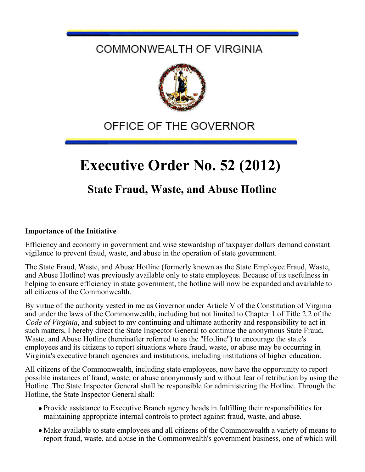### COMMONWEALTH OF VIRGINIA



## OFFICE OF THE GOVERNOR

# **Executive Order No. 52 (2012)**

### **State Fraud, Waste, and Abuse Hotline**

#### **Importance of the Initiative**

Efficiency and economy in government and wise stewardship of taxpayer dollars demand constant vigilance to prevent fraud, waste, and abuse in the operation of state government.

The State Fraud, Waste, and Abuse Hotline (formerly known as the State Employee Fraud, Waste, and Abuse Hotline) was previously available only to state employees. Because of its usefulness in helping to ensure efficiency in state government, the hotline will now be expanded and available to all citizens of the Commonwealth.

By virtue of the authority vested in me as Governor under Article V of the Constitution of Virginia and under the laws of the Commonwealth, including but not limited to Chapter 1 of Title 2.2 of the *Code of Virginia*, and subject to my continuing and ultimate authority and responsibility to act in such matters, I hereby direct the State Inspector General to continue the anonymous State Fraud, Waste, and Abuse Hotline (hereinafter referred to as the "Hotline") to encourage the state's employees and its citizens to report situations where fraud, waste, or abuse may be occurring in Virginia's executive branch agencies and institutions, including institutions of higher education.

All citizens of the Commonwealth, including state employees, now have the opportunity to report possible instances of fraud, waste, or abuse anonymously and without fear of retribution by using the Hotline. The State Inspector General shall be responsible for administering the Hotline. Through the Hotline, the State Inspector General shall:

- Provide assistance to Executive Branch agency heads in fulfilling their responsibilities for maintaining appropriate internal controls to protect against fraud, waste, and abuse.
- Make available to state employees and all citizens of the Commonwealth a variety of means to report fraud, waste, and abuse in the Commonwealth's government business, one of which will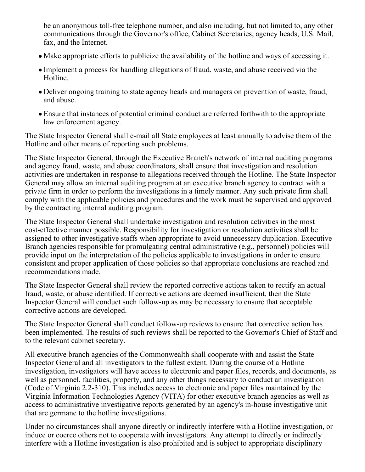be an anonymous toll-free telephone number, and also including, but not limited to, any other communications through the Governor's office, Cabinet Secretaries, agency heads, U.S. Mail, fax, and the Internet.

- Make appropriate efforts to publicize the availability of the hotline and ways of accessing it.
- Implement a process for handling allegations of fraud, waste, and abuse received via the Hotline.
- Deliver ongoing training to state agency heads and managers on prevention of waste, fraud, and abuse.
- Ensure that instances of potential criminal conduct are referred forthwith to the appropriate law enforcement agency.

The State Inspector General shall e-mail all State employees at least annually to advise them of the Hotline and other means of reporting such problems.

The State Inspector General, through the Executive Branch's network of internal auditing programs and agency fraud, waste, and abuse coordinators, shall ensure that investigation and resolution activities are undertaken in response to allegations received through the Hotline. The State Inspector General may allow an internal auditing program at an executive branch agency to contract with a private firm in order to perform the investigations in a timely manner. Any such private firm shall comply with the applicable policies and procedures and the work must be supervised and approved by the contracting internal auditing program.

The State Inspector General shall undertake investigation and resolution activities in the most cost-effective manner possible. Responsibility for investigation or resolution activities shall be assigned to other investigative staffs when appropriate to avoid unnecessary duplication. Executive Branch agencies responsible for promulgating central administrative (e.g., personnel) policies will provide input on the interpretation of the policies applicable to investigations in order to ensure consistent and proper application of those policies so that appropriate conclusions are reached and recommendations made.

The State Inspector General shall review the reported corrective actions taken to rectify an actual fraud, waste, or abuse identified. If corrective actions are deemed insufficient, then the State Inspector General will conduct such follow-up as may be necessary to ensure that acceptable corrective actions are developed.

The State Inspector General shall conduct follow-up reviews to ensure that corrective action has been implemented. The results of such reviews shall be reported to the Governor's Chief of Staff and to the relevant cabinet secretary.

All executive branch agencies of the Commonwealth shall cooperate with and assist the State Inspector General and all investigators to the fullest extent. During the course of a Hotline investigation, investigators will have access to electronic and paper files, records, and documents, as well as personnel, facilities, property, and any other things necessary to conduct an investigation (Code of Virginia 2.2-310). This includes access to electronic and paper files maintained by the Virginia Information Technologies Agency (VITA) for other executive branch agencies as well as access to administrative investigative reports generated by an agency's in-house investigative unit that are germane to the hotline investigations.

Under no circumstances shall anyone directly or indirectly interfere with a Hotline investigation, or induce or coerce others not to cooperate with investigators. Any attempt to directly or indirectly interfere with a Hotline investigation is also prohibited and is subject to appropriate disciplinary